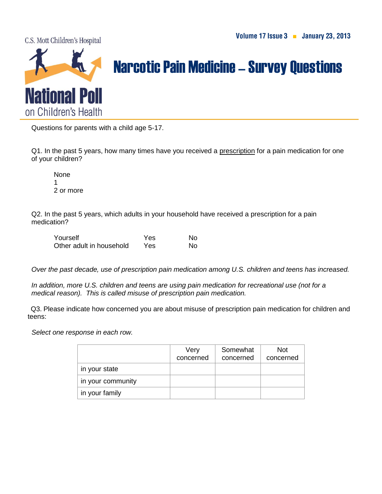C.S. Mott Children's Hospital



## Narcotic Pain Medicine–Survey Questions

Questions for parents with a child age 5-17.

Q1. In the past 5 years, how many times have you received a prescription for a pain medication for one of your children?

None 1 2 or more

Q2. In the past 5 years, which adults in your household have received a prescription for a pain medication?

| Yourself                 | Yes | No |
|--------------------------|-----|----|
| Other adult in household | Yes | No |

*Over the past decade, use of prescription pain medication among U.S. children and teens has increased.* 

*In addition, more U.S. children and teens are using pain medication for recreational use (not for a medical reason). This is called misuse of prescription pain medication.*

Q3. Please indicate how concerned you are about misuse of prescription pain medication for children and teens:

 *Select one response in each row.*

|                   | Very<br>concerned | Somewhat<br>concerned | Not.<br>concerned |
|-------------------|-------------------|-----------------------|-------------------|
| in your state     |                   |                       |                   |
| in your community |                   |                       |                   |
| in your family    |                   |                       |                   |